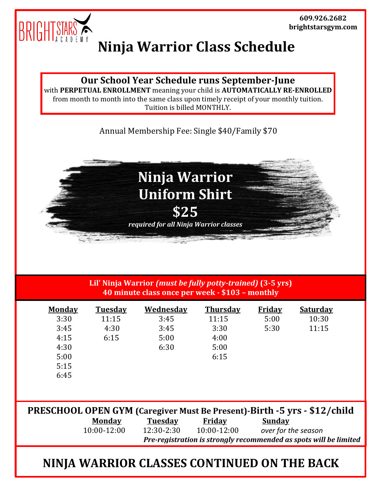

## **Ninja Warrior Class Schedule**

## **Our School Year Schedule runs September-June**

with **PERPETUAL ENROLLMENT** meaning your child is **AUTOMATICALLY RE-ENROLLED** from month to month into the same class upon timely receipt of your monthly tuition. Tuition is billed MONTHLY.

Annual Membership Fee: Single \$40/Family \$70



**Lil' Ninja Warrior** *(must be fully potty-trained)* **(3-5 yrs) 40 minute class once per week - \$103 – monthly**

| <b>Monday</b> | <b>Tuesday</b> | <b>Wednesday</b> | <b>Thursday</b> | <b>Friday</b> | <b>Saturday</b> |  |
|---------------|----------------|------------------|-----------------|---------------|-----------------|--|
| 3:30          | 11:15          | 3:45             | 11:15           | 5:00          | 10:30           |  |
| 3:45          | 4:30           | 3:45             | 3:30            | 5:30          | 11:15           |  |
| 4:15          | 6:15           | 5:00             | 4:00            |               |                 |  |
| 4:30          |                | 6:30             | 5:00            |               |                 |  |
| 5:00          |                |                  | 6:15            |               |                 |  |
| 5:15          |                |                  |                 |               |                 |  |
| 6:45          |                |                  |                 |               |                 |  |
|               |                |                  |                 |               |                 |  |
|               |                |                  |                 |               |                 |  |

| <b>PRESCHOOL OPEN GYM</b> (Caregiver Must Be Present)-Birth -5 yrs - \$12/child |               |                                                                   |                 |                     |  |  |  |  |
|---------------------------------------------------------------------------------|---------------|-------------------------------------------------------------------|-----------------|---------------------|--|--|--|--|
|                                                                                 | Monday        | Tuesday                                                           | Friday          | Sunday              |  |  |  |  |
|                                                                                 | $10:00-12:00$ | $12:30 - 2:30$                                                    | $10:00 - 12:00$ | over for the season |  |  |  |  |
|                                                                                 |               | Pre-registration is strongly recommended as spots will be limited |                 |                     |  |  |  |  |

## **NINJA WARRIOR CLASSES CONTINUED ON THE BACK**